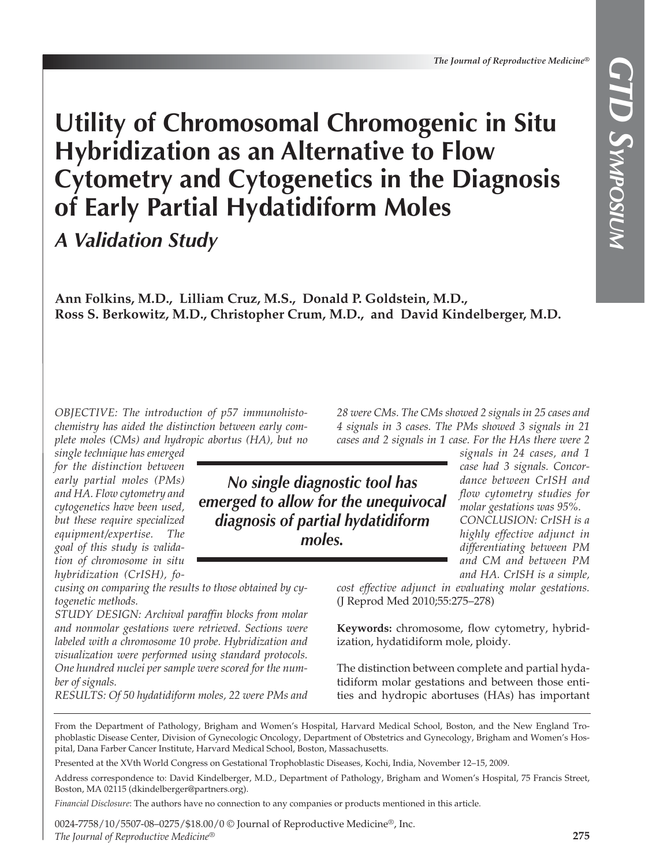# **Utility of Chromosomal Chromogenic in Situ Hybridization as an Alternative to Flow Cytometry and Cytogenetics in the Diagnosis of Early Partial Hydatidiform Moles**

*A Validation Study*

**Ann Folkins, M.D., Lilliam Cruz, M.S., Donald P. Goldstein, M.D., Ross S. Berkowitz, M.D., Christopher Crum, M.D., and David Kindelberger, M.D.**

*OBJECTIVE: The introduction of p57 immunohistochemistry has aided the distinction between early complete moles (CMs) and hydropic abortus (HA), but no*

*single technique has emerged for the distinction between early partial moles (PMs) and HA. Flow cytometry and cytogenetics have been used, but these require specialized equipment/expertise. The goal of this study is validation of chromosome in situ hybridization (CrISH), fo-*

*cusing on comparing the results to those obtained by cytogenetic methods.*

*STUDY DESIGN: Archival paraffin blocks from molar and nonmolar gestations were retrieved. Sections were labeled with a chromosome 10 probe. Hybridization and visualization were performed using standard protocols. One hundred nuclei per sample were scored for the number of signals.*

*RESULTS: Of 50 hydatidiform moles, 22 were PMs and*

*28 were CMs. The CMs showed 2 signals in 25 cases and 4 signals in 3 cases. The PMs showed 3 signals in 21 cases and 2 signals in 1 case. For the HAs there were 2*

*No single diagnostic tool has emerged to allow for the unequivocal diagnosis of partial hydatidiform moles.*

*signals in 24 cases, and 1 case had 3 signals. Concordance between CrISH and flow cytometry studies for molar gestations was 95%. CONCLUSION: CrISH is a highly effective adjunct in differentiating between PM and CM and between PM and HA. CrISH is a simple,*

*cost effective adjunct in evaluating molar gestations.*  (J Reprod Med 2010;55:275–278)

**Keywords:** chromosome, flow cytometry, hybridization, hydatidiform mole, ploidy.

The distinction between complete and partial hydatidiform molar gestations and between those entities and hydropic abortuses (HAs) has important

From the Department of Pathology, Brigham and Women's Hospital, Harvard Medical School, Boston, and the New England Trophoblastic Disease Center, Division of Gynecologic Oncology, Department of Obstetrics and Gynecology, Brigham and Women's Hospital, Dana Farber Cancer Institute, Harvard Medical School, Boston, Massachusetts.

Presented at the XVth World Congress on Gestational Trophoblastic Diseases, Kochi, India, November 12–15, 2009.

Address correspondence to: David Kindelberger, M.D., Department of Pathology, Brigham and Women's Hospital, 75 Francis Street, Boston, MA 02115 (dkindelberger@partners.org).

*Financial Disclosure*: The authors have no connection to any companies or products mentioned in this article.

0024-7758/10/5507-08–0275/\$18.00/0 © Journal of Reproductive Medicine®, Inc. *The Journal of Reproductive Medicine*®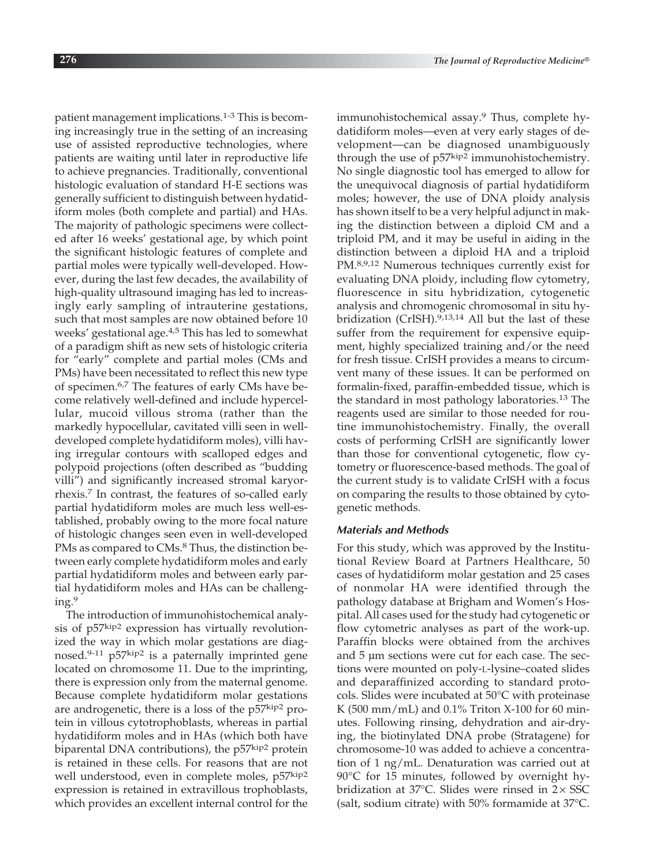patient management implications.1-3 This is becoming increasingly true in the setting of an increasing use of assisted reproductive technologies, where patients are waiting until later in reproductive life to achieve pregnancies. Traditionally, conventional histologic evaluation of standard H-E sections was generally sufficient to distinguish between hydatidiform moles (both complete and partial) and HAs. The majority of pathologic specimens were collected after 16 weeks' gestational age, by which point the significant histologic features of complete and partial moles were typically well-developed. However, during the last few decades, the availability of high-quality ultrasound imaging has led to increasingly early sampling of intrauterine gestations, such that most samples are now obtained before 10 weeks' gestational age.<sup>4,5</sup> This has led to somewhat of a paradigm shift as new sets of histologic criteria for "early" complete and partial moles (CMs and PMs) have been necessitated to reflect this new type of specimen.6,7 The features of early CMs have become relatively well-defined and include hypercellular, mucoid villous stroma (rather than the markedly hypocellular, cavitated villi seen in welldeveloped complete hydatidiform moles), villi having irregular contours with scalloped edges and polypoid projections (often described as "budding villi") and significantly increased stromal karyorrhexis.<sup>7</sup> In contrast, the features of so-called early partial hydatidiform moles are much less well-established, probably owing to the more focal nature of histologic changes seen even in well-developed PMs as compared to CMs.<sup>8</sup> Thus, the distinction between early complete hydatidiform moles and early partial hydatidiform moles and between early partial hydatidiform moles and HAs can be challenging.<sup>9</sup>

The introduction of immunohistochemical analysis of p57kip2 expression has virtually revolutionized the way in which molar gestations are diagnosed.<sup>9-11</sup> p57 $kip<sup>2</sup>$  is a paternally imprinted gene located on chromosome 11. Due to the imprinting, there is expression only from the maternal genome. Because complete hydatidiform molar gestations are androgenetic, there is a loss of the p57<sub>kip2</sub> protein in villous cytotrophoblasts, whereas in partial hydatidiform moles and in HAs (which both have biparental DNA contributions), the  $p57^{kip2}$  protein is retained in these cells. For reasons that are not well understood, even in complete moles, p57kip2 expression is retained in extravillous trophoblasts, which provides an excellent internal control for the immunohistochemical assay.<sup>9</sup> Thus, complete hydatidiform moles—even at very early stages of development—can be diagnosed unambiguously through the use of  $p57^{kip2}$  immunohistochemistry. No single diagnostic tool has emerged to allow for the unequivocal diagnosis of partial hydatidiform moles; however, the use of DNA ploidy analysis has shown itself to be a very helpful adjunct in making the distinction between a diploid CM and a triploid PM, and it may be useful in aiding in the distinction between a diploid HA and a triploid PM.<sup>8,9,12</sup> Numerous techniques currently exist for evaluating DNA ploidy, including flow cytometry, fluorescence in situ hybridization, cytogenetic analysis and chromogenic chromosomal in situ hybridization (CrISH).<sup>9,13,14</sup> All but the last of these suffer from the requirement for expensive equipment, highly specialized training and/or the need for fresh tissue. CrISH provides a means to circumvent many of these issues. It can be performed on formalin-fixed, paraffin-embedded tissue, which is the standard in most pathology laboratories.<sup>13</sup> The reagents used are similar to those needed for routine immunohistochemistry. Finally, the overall costs of performing CrISH are significantly lower than those for conventional cytogenetic, flow cytometry or fluorescence-based methods. The goal of the current study is to validate CrISH with a focus on comparing the results to those obtained by cytogenetic methods.

## *Materials and Methods*

For this study, which was approved by the Institutional Review Board at Partners Healthcare, 50 cases of hydatidiform molar gestation and 25 cases of nonmolar HA were identified through the pathology database at Brigham and Women's Hospital. All cases used for the study had cytogenetic or flow cytometric analyses as part of the work-up. Paraffin blocks were obtained from the archives and 5 μm sections were cut for each case. The sections were mounted on poly-L-lysine–coated slides and deparaffinized according to standard protocols. Slides were incubated at 50°C with proteinase K (500 mm/mL) and 0.1% Triton X-100 for 60 minutes. Following rinsing, dehydration and air-drying, the biotinylated DNA probe (Stratagene) for chromosome-10 was added to achieve a concentration of 1 ng/mL. Denaturation was carried out at 90°C for 15 minutes, followed by overnight hybridization at  $37^{\circ}$ C. Slides were rinsed in  $2 \times SSC$ (salt, sodium citrate) with 50% formamide at 37°C.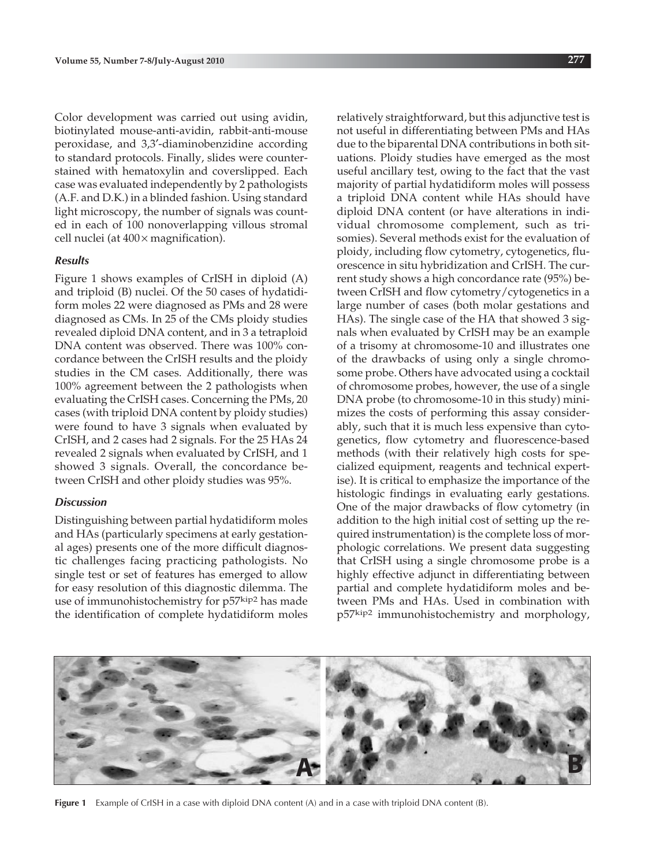Color development was carried out using avidin, biotinylated mouse-anti-avidin, rabbit-anti-mouse peroxidase, and 3,3′-diaminobenzidine according to standard protocols. Finally, slides were counterstained with hematoxylin and coverslipped. Each case was evaluated independently by 2 pathologists (A.F. and D.K.) in a blinded fashion. Using standard light microscopy, the number of signals was counted in each of 100 nonoverlapping villous stromal cell nuclei (at  $400 \times$  magnification).

### *Results*

Figure 1 shows examples of CrISH in diploid (A) and triploid (B) nuclei. Of the 50 cases of hydatidiform moles 22 were diagnosed as PMs and 28 were diagnosed as CMs. In 25 of the CMs ploidy studies revealed diploid DNA content, and in 3 a tetraploid DNA content was observed. There was 100% concordance between the CrISH results and the ploidy studies in the CM cases. Additionally, there was 100% agreement between the 2 pathologists when evaluating the CrISH cases. Concerning the PMs, 20 cases (with triploid DNA content by ploidy studies) were found to have 3 signals when evaluated by CrISH, and 2 cases had 2 signals. For the 25 HAs 24 revealed 2 signals when evaluated by CrISH, and 1 showed 3 signals. Overall, the concordance between CrISH and other ploidy studies was 95%.

### *Discussion*

Distinguishing between partial hydatidiform moles and HAs (particularly specimens at early gestational ages) presents one of the more difficult diagnostic challenges facing practicing pathologists. No single test or set of features has emerged to allow for easy resolution of this diagnostic dilemma. The use of immunohistochemistry for p57kip2 has made the identification of complete hydatidiform moles relatively straightforward, but this adjunctive test is not useful in differentiating between PMs and HAs due to the biparental DNA contributions in both situations. Ploidy studies have emerged as the most useful ancillary test, owing to the fact that the vast majority of partial hydatidiform moles will possess a triploid DNA content while HAs should have diploid DNA content (or have alterations in individual chromosome complement, such as trisomies). Several methods exist for the evaluation of ploidy, including flow cytometry, cytogenetics, fluorescence in situ hybridization and CrISH. The current study shows a high concordance rate (95%) between CrISH and flow cytometry/cytogenetics in a large number of cases (both molar gestations and HAs). The single case of the HA that showed 3 signals when evaluated by CrISH may be an example of a trisomy at chromosome-10 and illustrates one of the drawbacks of using only a single chromosome probe. Others have advocated using a cocktail of chromosome probes, however, the use of a single DNA probe (to chromosome-10 in this study) minimizes the costs of performing this assay considerably, such that it is much less expensive than cytogenetics, flow cytometry and fluorescence-based methods (with their relatively high costs for specialized equipment, reagents and technical expertise). It is critical to emphasize the importance of the histologic findings in evaluating early gestations. One of the major drawbacks of flow cytometry (in addition to the high initial cost of setting up the required instrumentation) is the complete loss of morphologic correlations. We present data suggesting that CrISH using a single chromosome probe is a highly effective adjunct in differentiating between partial and complete hydatidiform moles and between PMs and HAs. Used in combination with p57kip2 immunohistochemistry and morphology,



**Figure 1** Example of CrISH in a case with diploid DNA content (A) and in a case with triploid DNA content (B).